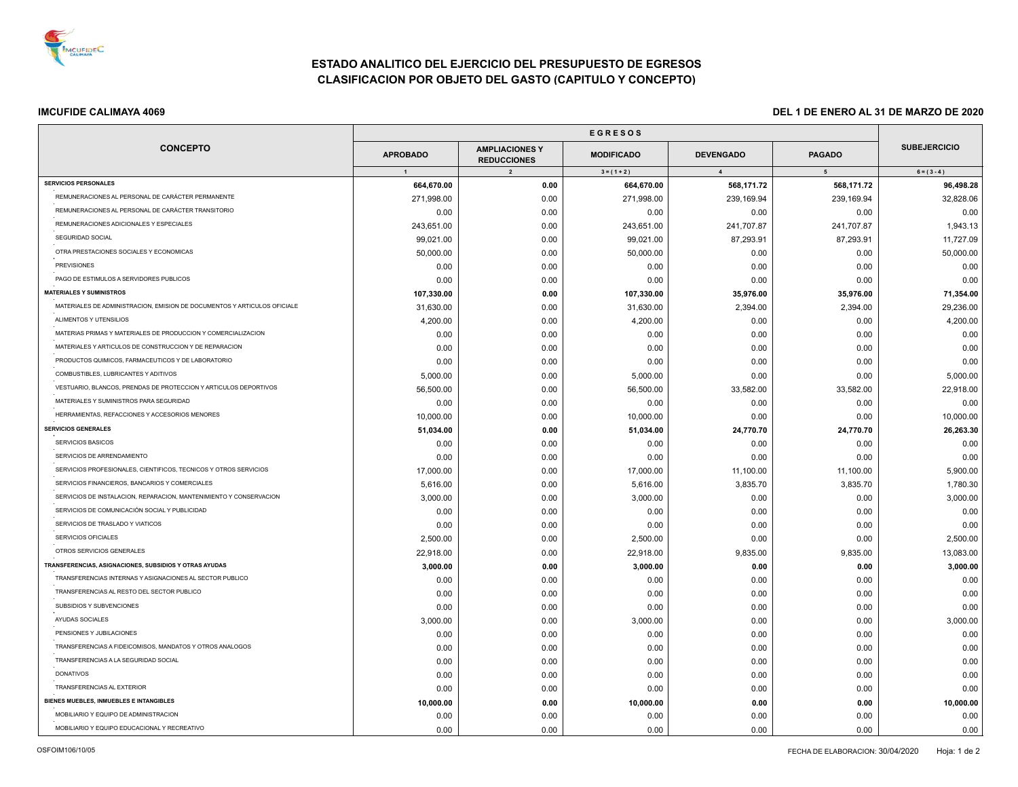

÷.

# **ESTADO ANALITICO DEL EJERCICIO DEL PRESUPUESTO DE EGRESOS CLASIFICACION POR OBJETO DEL GASTO (CAPITULO Y CONCEPTO)**

## **IMCUFIDE CALIMAYA 4069 DEL 1 DE ENERO AL 31 DE MARZO DE 2020**

| <b>CONCEPTO</b>                                                          | <b>APROBADO</b> | <b>AMPLIACIONES Y</b><br><b>REDUCCIONES</b> | <b>MODIFICADO</b> | <b>DEVENGADO</b> | <b>PAGADO</b>   | <b>SUBEJERCICIO</b> |
|--------------------------------------------------------------------------|-----------------|---------------------------------------------|-------------------|------------------|-----------------|---------------------|
|                                                                          | $\overline{1}$  | $\overline{2}$                              | $3 = (1 + 2)$     | $\overline{4}$   | $5\overline{5}$ | $6 = (3 - 4)$       |
| <b>SERVICIOS PERSONALES</b>                                              | 664,670.00      | 0.00                                        | 664,670.00        | 568,171.72       | 568,171.72      | 96,498.28           |
| REMUNERACIONES AL PERSONAL DE CARÁCTER PERMANENTE                        | 271,998.00      | 0.00                                        | 271,998.00        | 239,169.94       | 239,169.94      | 32,828.06           |
| REMUNERACIONES AL PERSONAL DE CARÁCTER TRANSITORIO                       | 0.00            | 0.00                                        | 0.00              | 0.00             | 0.00            | 0.00                |
| REMUNERACIONES ADICIONALES Y ESPECIALES                                  | 243,651.00      | 0.00                                        | 243,651.00        | 241,707.87       | 241,707.87      | 1,943.13            |
| SEGURIDAD SOCIAL                                                         | 99,021.00       | 0.00                                        | 99,021.00         | 87,293.91        | 87,293.91       | 11,727.09           |
| OTRA PRESTACIONES SOCIALES Y ECONOMICAS                                  | 50,000.00       | 0.00                                        | 50,000.00         | 0.00             | 0.00            | 50,000.00           |
| <b>PREVISIONES</b>                                                       | 0.00            | 0.00                                        | 0.00              | 0.00             | 0.00            | 0.00                |
| PAGO DE ESTIMULOS A SERVIDORES PUBLICOS                                  | 0.00            | 0.00                                        | 0.00              | 0.00             | 0.00            | 0.00                |
| <b>MATERIALES Y SUMINISTROS</b>                                          | 107,330.00      | 0.00                                        | 107,330.00        | 35,976.00        | 35,976.00       | 71,354.00           |
| MATERIALES DE ADMINISTRACION, EMISION DE DOCUMENTOS Y ARTICULOS OFICIALE | 31,630.00       | 0.00                                        | 31,630.00         | 2,394.00         | 2,394.00        | 29,236.00           |
| ALIMENTOS Y UTENSILIOS                                                   | 4,200.00        | 0.00                                        | 4,200.00          | 0.00             | 0.00            | 4,200.00            |
| MATERIAS PRIMAS Y MATERIALES DE PRODUCCION Y COMERCIALIZACION            | 0.00            | 0.00                                        | 0.00              | 0.00             | 0.00            | 0.00                |
| MATERIALES Y ARTICULOS DE CONSTRUCCION Y DE REPARACION                   | 0.00            | 0.00                                        | 0.00              | 0.00             | 0.00            | 0.00                |
| PRODUCTOS QUIMICOS, FARMACEUTICOS Y DE LABORATORIO                       | 0.00            | 0.00                                        | 0.00              | 0.00             | 0.00            | 0.00                |
| COMBUSTIBLES, LUBRICANTES Y ADITIVOS                                     | 5,000.00        | 0.00                                        | 5,000.00          | 0.00             | 0.00            | 5,000.00            |
| VESTUARIO, BLANCOS, PRENDAS DE PROTECCION Y ARTICULOS DEPORTIVOS         | 56,500.00       | 0.00                                        | 56,500.00         | 33,582.00        | 33,582.00       | 22,918.00           |
| MATERIALES Y SUMINISTROS PARA SEGURIDAD                                  | 0.00            | 0.00                                        | 0.00              | 0.00             | 0.00            | 0.00                |
| HERRAMIENTAS, REFACCIONES Y ACCESORIOS MENORES                           | 10,000.00       | 0.00                                        | 10,000.00         | 0.00             | 0.00            | 10,000.00           |
| <b>SERVICIOS GENERALES</b>                                               | 51,034.00       | 0.00                                        | 51,034.00         | 24,770.70        | 24,770.70       | 26,263.30           |
| SERVICIOS BASICOS                                                        | 0.00            | 0.00                                        | 0.00              | 0.00             | 0.00            | 0.00                |
| SERVICIOS DE ARRENDAMIENTO                                               | 0.00            | 0.00                                        | 0.00              | 0.00             | 0.00            | 0.00                |
| SERVICIOS PROFESIONALES, CIENTIFICOS, TECNICOS Y OTROS SERVICIOS         | 17,000.00       | 0.00                                        | 17,000.00         | 11,100.00        | 11,100.00       | 5,900.00            |
| SERVICIOS FINANCIEROS, BANCARIOS Y COMERCIALES                           | 5,616.00        | 0.00                                        | 5,616.00          | 3,835.70         | 3,835.70        | 1,780.30            |
| SERVICIOS DE INSTALACION, REPARACION, MANTENIMIENTO Y CONSERVACION       | 3,000.00        | 0.00                                        | 3,000.00          | 0.00             | 0.00            | 3,000.00            |
| SERVICIOS DE COMUNICACIÓN SOCIAL Y PUBLICIDAD                            | 0.00            | 0.00                                        | 0.00              | 0.00             | 0.00            | 0.00                |
| SERVICIOS DE TRASLADO Y VIATICOS                                         | 0.00            | 0.00                                        | 0.00              | 0.00             | 0.00            | 0.00                |
| SERVICIOS OFICIALES                                                      | 2,500.00        | 0.00                                        | 2,500.00          | 0.00             | 0.00            | 2,500.00            |
| OTROS SERVICIOS GENERALES                                                | 22,918.00       | 0.00                                        | 22,918.00         | 9,835.00         | 9,835.00        | 13,083.00           |
| TRANSFERENCIAS, ASIGNACIONES, SUBSIDIOS Y OTRAS AYUDAS                   | 3,000.00        | 0.00                                        | 3,000.00          | 0.00             | 0.00            | 3,000.00            |
| TRANSFERENCIAS INTERNAS Y ASIGNACIONES AL SECTOR PUBLICO                 | 0.00            | 0.00                                        | 0.00              | 0.00             | 0.00            | 0.00                |
| TRANSFERENCIAS AL RESTO DEL SECTOR PUBLICO                               | 0.00            | 0.00                                        | 0.00              | 0.00             | 0.00            | 0.00                |
| SUBSIDIOS Y SUBVENCIONES                                                 | 0.00            | 0.00                                        | 0.00              | 0.00             | 0.00            | 0.00                |
| AYUDAS SOCIALES                                                          | 3,000.00        | 0.00                                        | 3,000.00          | 0.00             | 0.00            | 3,000.00            |
| PENSIONES Y JUBILACIONES                                                 | 0.00            | 0.00                                        | 0.00              | 0.00             | 0.00            | 0.00                |
| TRANSFERENCIAS A FIDEICOMISOS, MANDATOS Y OTROS ANALOGOS                 | 0.00            | 0.00                                        | 0.00              | 0.00             | 0.00            | 0.00                |
| TRANSFERENCIAS A LA SEGURIDAD SOCIAL                                     | 0.00            | 0.00                                        | 0.00              | 0.00             | 0.00            | 0.00                |
| <b>DONATIVOS</b>                                                         | 0.00            | 0.00                                        | 0.00              | 0.00             | 0.00            | 0.00                |
| TRANSFERENCIAS AL EXTERIOR                                               | 0.00            | 0.00                                        | 0.00              | 0.00             | 0.00            | 0.00                |
| BIENES MUEBLES, INMUEBLES E INTANGIBLES                                  | 10,000.00       | 0.00                                        | 10,000.00         | 0.00             | 0.00            | 10,000.00           |
| MOBILIARIO Y EQUIPO DE ADMINISTRACION                                    | 0.00            | 0.00                                        | 0.00              | 0.00             | 0.00            | 0.00                |
| MOBILIARIO Y EQUIPO EDUCACIONAL Y RECREATIVO                             | 0.00            | 0.00                                        | 0.00              | 0.00             | 0.00            | 0.00                |